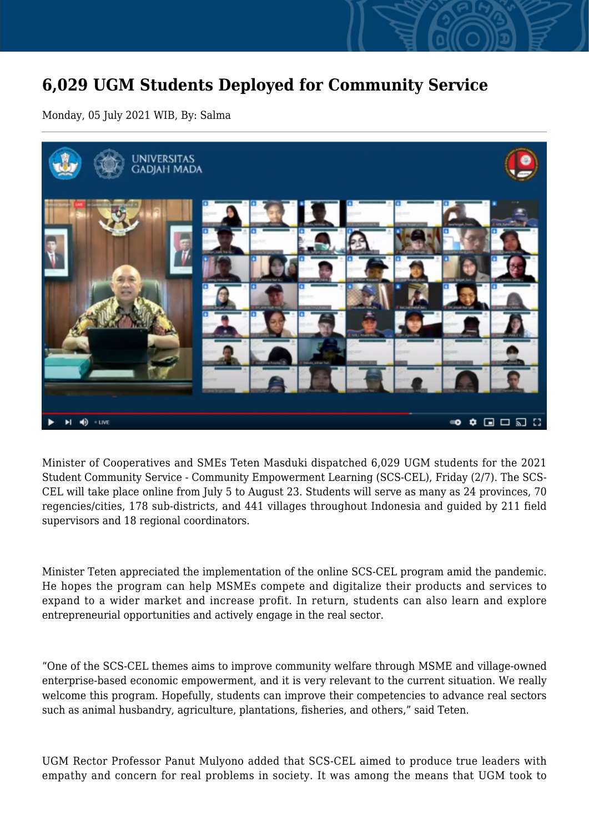## **6,029 UGM Students Deployed for Community Service**

Monday, 05 July 2021 WIB, By: Salma



Minister of Cooperatives and SMEs Teten Masduki dispatched 6,029 UGM students for the 2021 Student Community Service - Community Empowerment Learning (SCS-CEL), Friday (2/7). The SCS-CEL will take place online from July 5 to August 23. Students will serve as many as 24 provinces, 70 regencies/cities, 178 sub-districts, and 441 villages throughout Indonesia and guided by 211 field supervisors and 18 regional coordinators.

Minister Teten appreciated the implementation of the online SCS-CEL program amid the pandemic. He hopes the program can help MSMEs compete and digitalize their products and services to expand to a wider market and increase profit. In return, students can also learn and explore entrepreneurial opportunities and actively engage in the real sector.

"One of the SCS-CEL themes aims to improve community welfare through MSME and village-owned enterprise-based economic empowerment, and it is very relevant to the current situation. We really welcome this program. Hopefully, students can improve their competencies to advance real sectors such as animal husbandry, agriculture, plantations, fisheries, and others," said Teten.

UGM Rector Professor Panut Mulyono added that SCS-CEL aimed to produce true leaders with empathy and concern for real problems in society. It was among the means that UGM took to